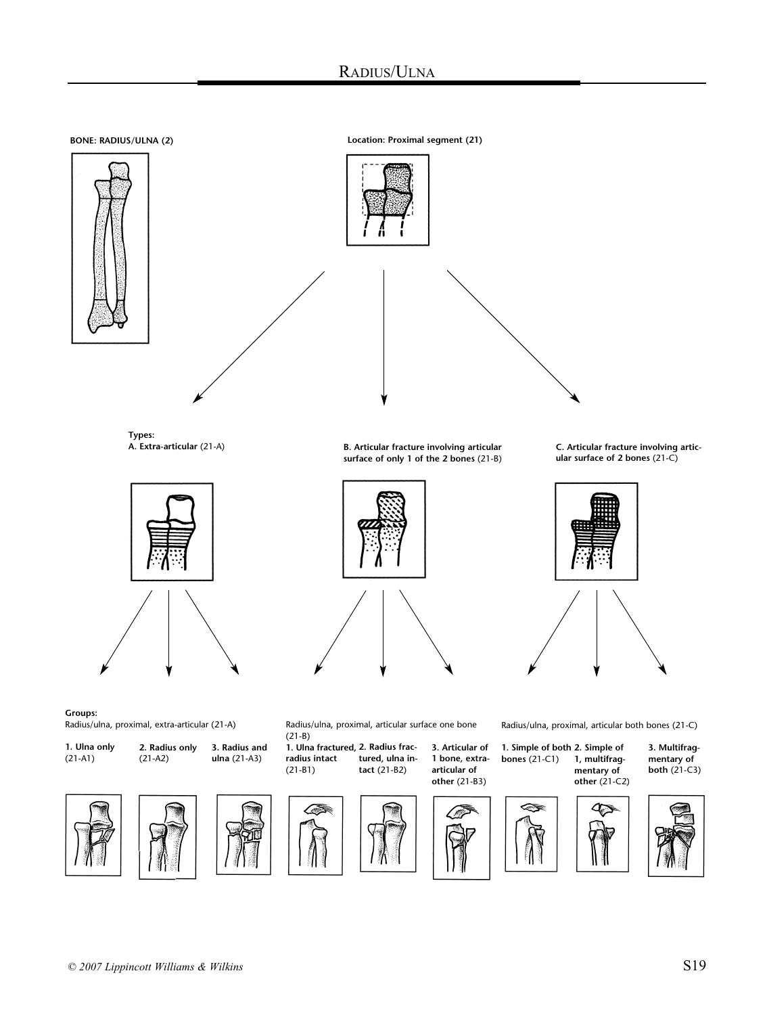# RADIUS/ULNA

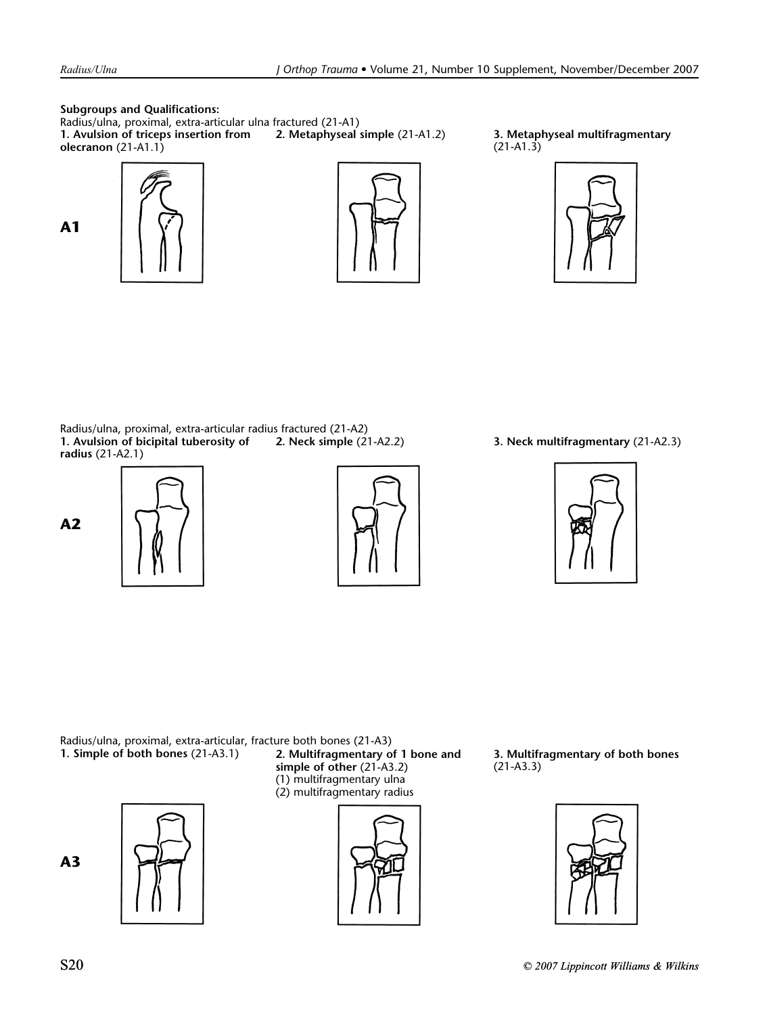**A1**

**Subgroups and Qualifications:**

Radius/ulna, proximal, extra-articular ulna fractured (21-A1) **1. Avulsion of triceps insertion from olecranon** (21-A1.1)







**2. Metaphyseal simple** (21-A1.2) **3. Metaphyseal multifragmentary** (21-A1.3)



Radius/ulna, proximal, extra-articular radius fractured (21-A2)<br>1. Avulsion of bicipital tuberosity of 2. Neck simple (21-A2.2) **1. Avulsion of bicipital tuberosity of radius** (21-A2.1)











Radius/ulna, proximal, extra-articular, fracture both bones (21-A3)<br>1. Simple of both bones (21-A3.1) 2. Multifragmentary of

**A3**



**2. Multifragmentary of 1 bone and simple of other** (21-A3.2) (1) multifragmentary ulna (2) multifragmentary radius



**3. Multifragmentary of both bones** (21-A3.3)

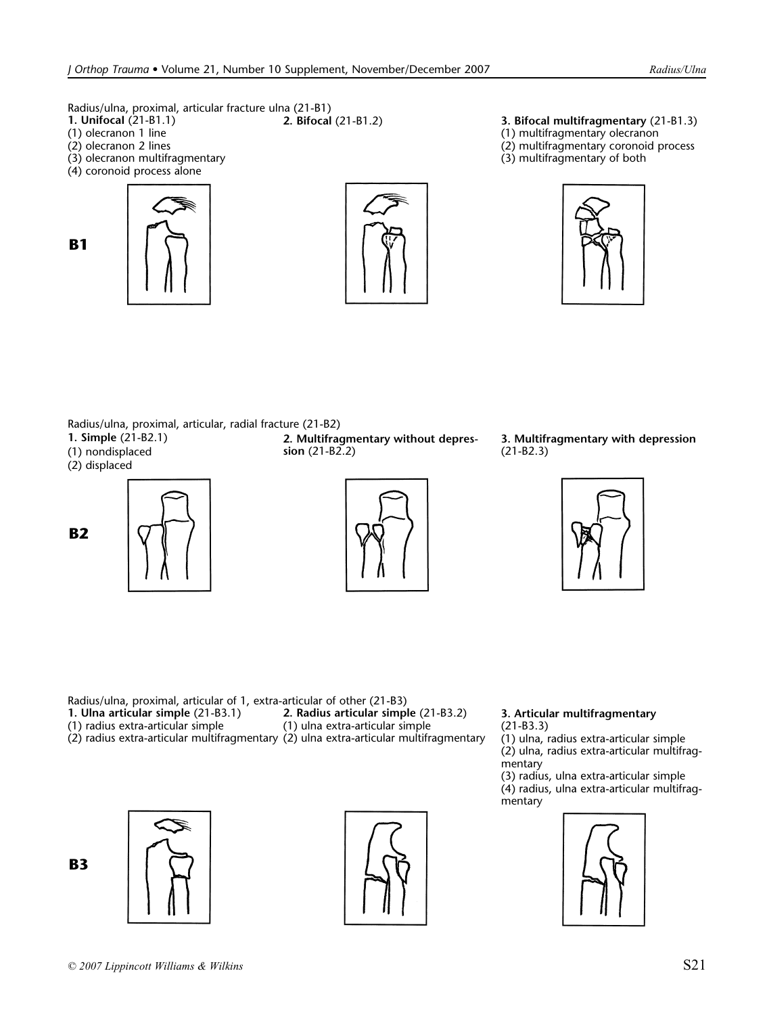Radius/ulna, proximal, articular fracture ulna (21-B1)<br>1. Unifocal (21-B1.1) 2. Bifocal (21-B1.2)

- **1. UnifocaI** (21-B1.1)
- (1) olecranon 1 line
- (2) olecranon 2 lines

**B1**

- (3) olecranon multifragmentary
- (4) coronoid process alone





- **2. Bifocal** (21-B1.2) **3. Bifocal multifragmentary** (21-B1.3)
- (1) multifragmentary olecranon
- (2) multifragmentary coronoid process
- (3) multifragmentary of both



Radius/ulna, proximal, articular, radial fracture (21-B2)

- **1. Simple** (21-B2.1)
- (1) nondisplaced
- (2) displaced





**2. Multifragmentary without depression** (21-B2.2)



**3. Multifragmentary with depression** (21-B2.3)



Radius/ulna, proximal, articular of 1, extra-articular of other (21-B3) **1. Ulna articular simple** (21-B3.1) (1) radius extra-articular simple (2) radius extra-articular multifragmentary (2) ulna extra-articular multifragmentary **2. Radius articular simple** (21-B3.2) (1) ulna extra-articular simple

**B3**





### **3. Articular multifragmentary** (21-B3.3)

(1) ulna, radius extra-articular simple

(2) ulna, radius extra-articular multifragmentary

(3) radius, ulna extra-articular simple (4) radius, ulna extra-articular multifragmentary

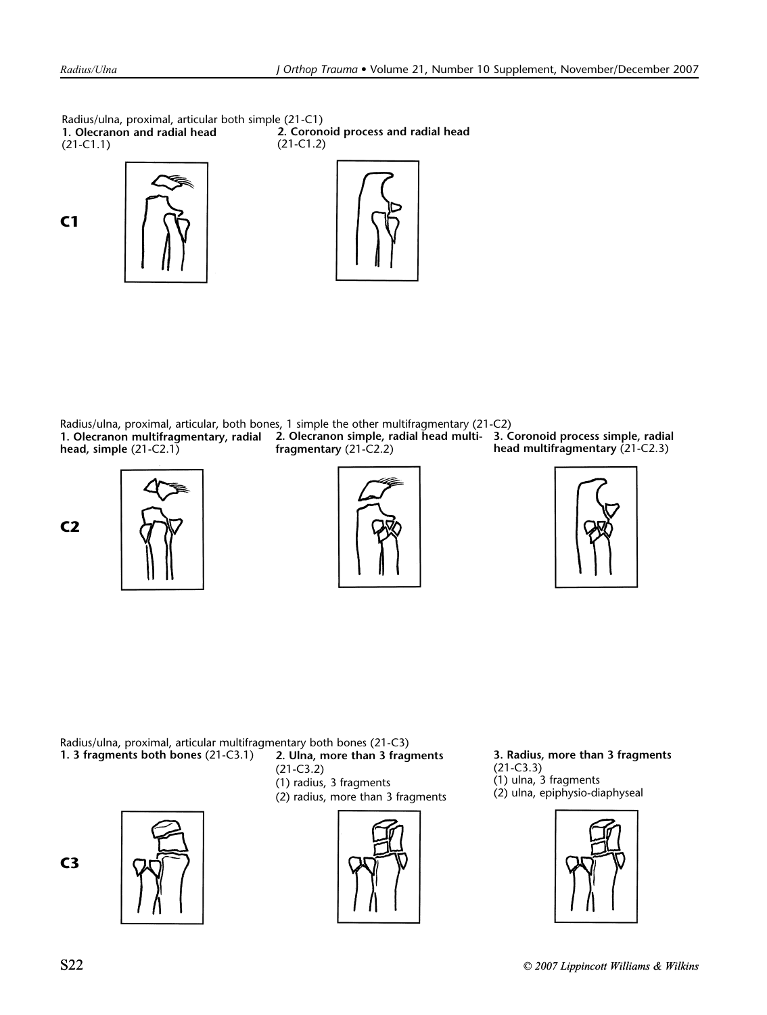Radius/ulna, proximal, articular both simple (21-C1) **1. Olecranon and radial head** (21-C1.1) **2. Coronoid process and radial head** (21-C1.2)

**C1**





Radius/ulna, proximal, articular, both bones, 1 simple the other multifragmentary (21-C2) **1. Olecranon multifragmentary, radial head, simple** (21-C2.1) **2. Olecranon simple, radial head multi-3. Coronoid process simple, radial fragmentary** (21-C2.2)

**head multifragmentary** (21-C2.3)









**2. Ulna, more than 3 fragments** Radius/ulna, proximal, articular multifragmentary both bones (21-C3) **1. 3 fragments both bones** (21-C3.1) **3. Radius, more than 3 fragments**

- (21-C3.2) (1) radius, 3 fragments
- (2) radius, more than 3 fragments







(21-C3.3) (1) ulna, 3 fragments (2) ulna, epiphysio-diaphyseal

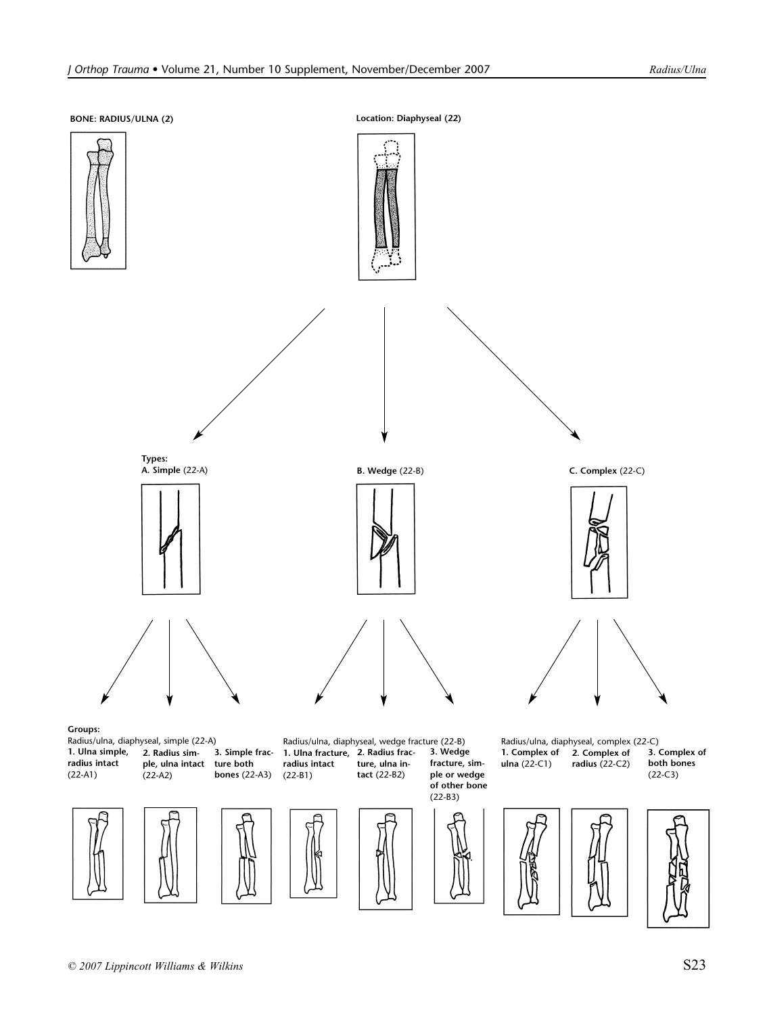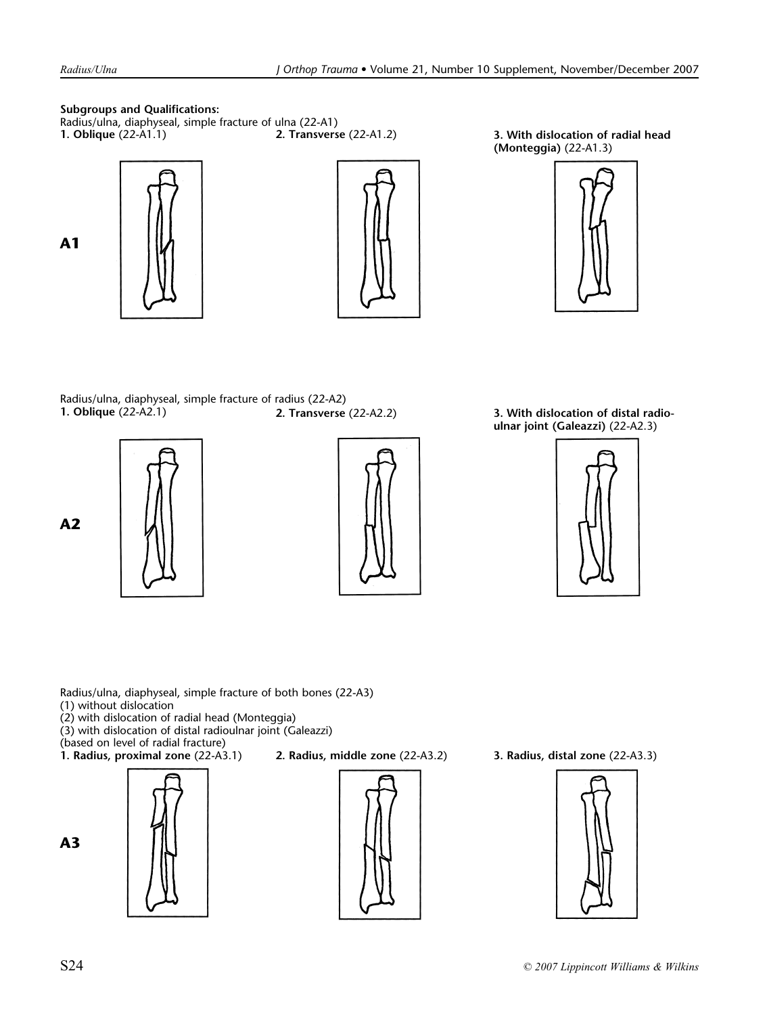# **Subgroups and Qualifications:**

Radius/ulna, diaphyseal, simple fracture of ulna (22-A1)<br>1. Oblique (22-A1.1) 2. Transverse (22-A1.2)







**1. With dislocation of radial head (Monteggia)** (22-A1.3)



Radius/ulna, diaphyseal, simple fracture of radius (22-A2)<br>1. Oblique (22-A2.1) 2. Transverse







**1. Oblique** (22-A2.1) **2. Transverse** (22-A2.2) **3. With dislocation of distal radioulnar joint (Galeazzi)** (22-A2.3)



Radius/ulna, diaphyseal, simple fracture of both bones (22-A3)

- (1) without dislocation
- (2) with dislocation of radial head (Monteggia)
- (3) with dislocation of distal radioulnar joint (Galeazzi)

(based on level of radial fracture)<br>**1. Radius, proximal zone** (22-A3.1)









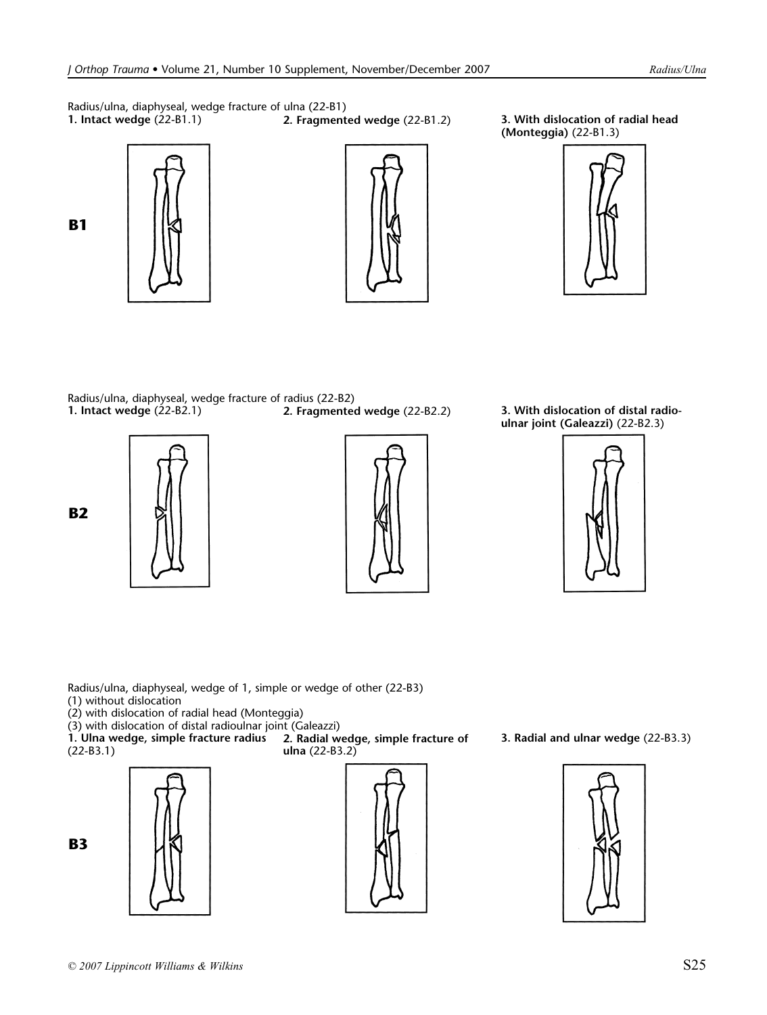Radius/ulna, diaphyseal, wedge fracture of ulna (22-B1)<br>1. Intact wedge (22-B1.1) 2. Fragment





**1. Intact wedge** (22-B1.1) **2. Fragmented wedge** (22-B1.2) **3. With dislocation of radial head (Monteggia)** (22-B1.3)



**2. Fragmented wedge** (22-B2.2) **3. With dislocation of distal radio-**Radius/ulna, diaphyseal, wedge fracture of radius (22-B2) **1. Intact wedge** (22-B2.1)

**B2**

**B1**





**ulnar joint (Galeazzi)** (22-B2.3)



Radius/ulna, diaphyseal, wedge of 1, simple or wedge of other (22-B3) (1) without dislocation

(2) with dislocation of radial head (Monteggia)

(3) with dislocation of distal radioulnar joint (Galeazzi)

**1. Ulna wedge, simple fracture radius** (22-B3.1)



**B3**

**2. Radial wedge, simple fracture of ulna** (22-B3.2)



**3. Radial and ulnar wedge** (22-B3.3)

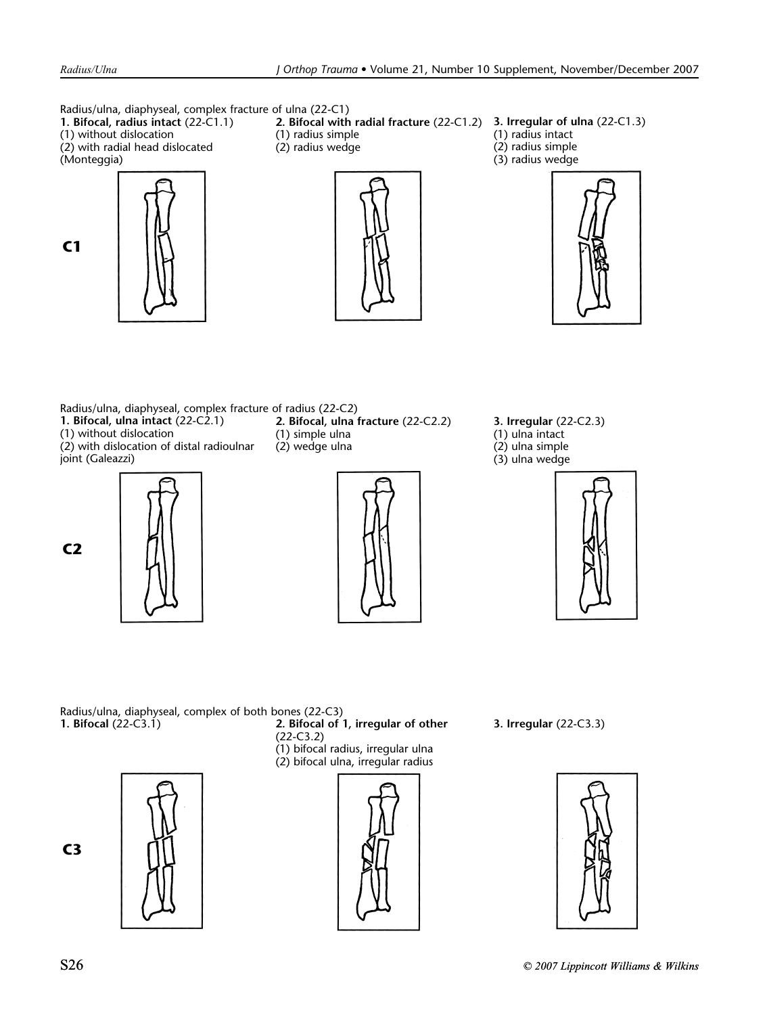Radius/ulna, diaphyseal, complex fracture of ulna (22-C1) **1. Bifocal, radius intact** (22-C1.1) (1) without dislocation (2) with radial head dislocated (Monteggia) **2. Bifocal with radial fracture** (22-C1.2) (1) radius simple (2) radius wedge (1) radius intact (2) radius simple (3) radius wedge

**C1**

**C2**



**3. Irregular of ulna** (22-C1.3)



Radius/ulna, diaphyseal, complex fracture of radius (22-C2) **1. Bifocal, ulna intact** (22-C2.1) (1) without dislocation

(2) with dislocation of distal radioulnar joint (Galeazzi)



**2. Bifocal, ulna fracture** (22-C2.2) (1) simple ulna (2) wedge ulna



**3. Irregular** (22-C2.3) (1) ulna intact (2) ulna simple (3) ulna wedge



Radius/ulna, diaphyseal, complex of both bones (22-C3)<br>1. Bifocal (22-C3.1) 2. Bifocal of

**2. Bifocal of 1, irregular of other** (22-C3.2) (1) bifocal radius, irregular ulna (2) bifocal ulna, irregular radius



**3. Irregular** (22-C3.3)



**C3**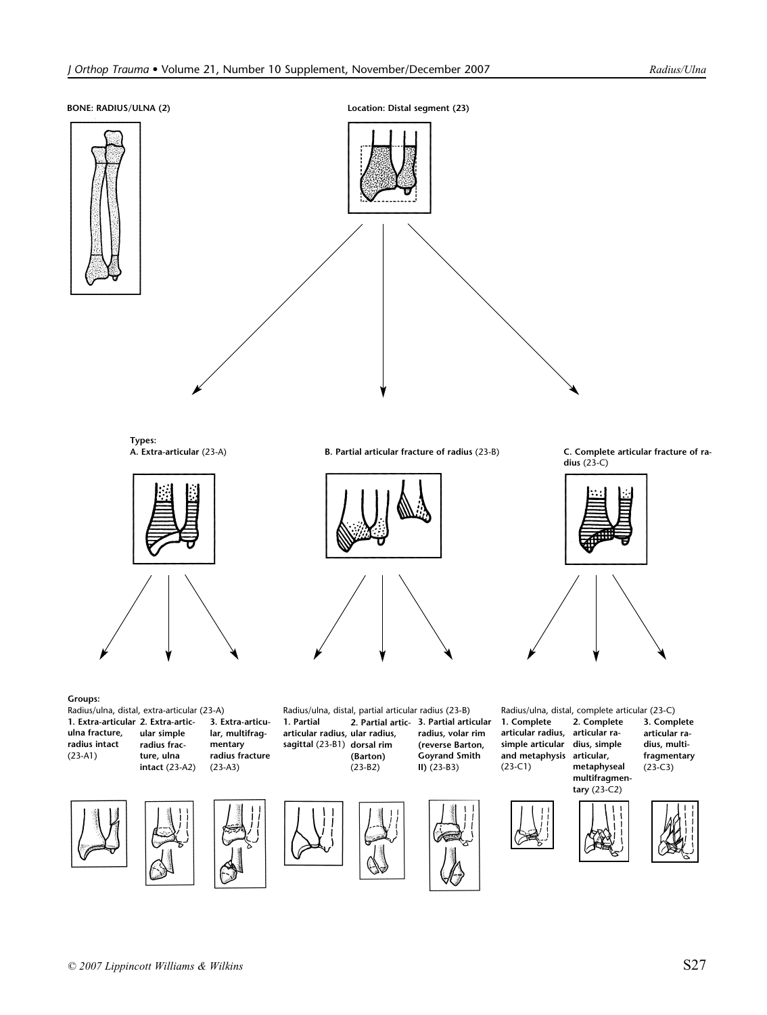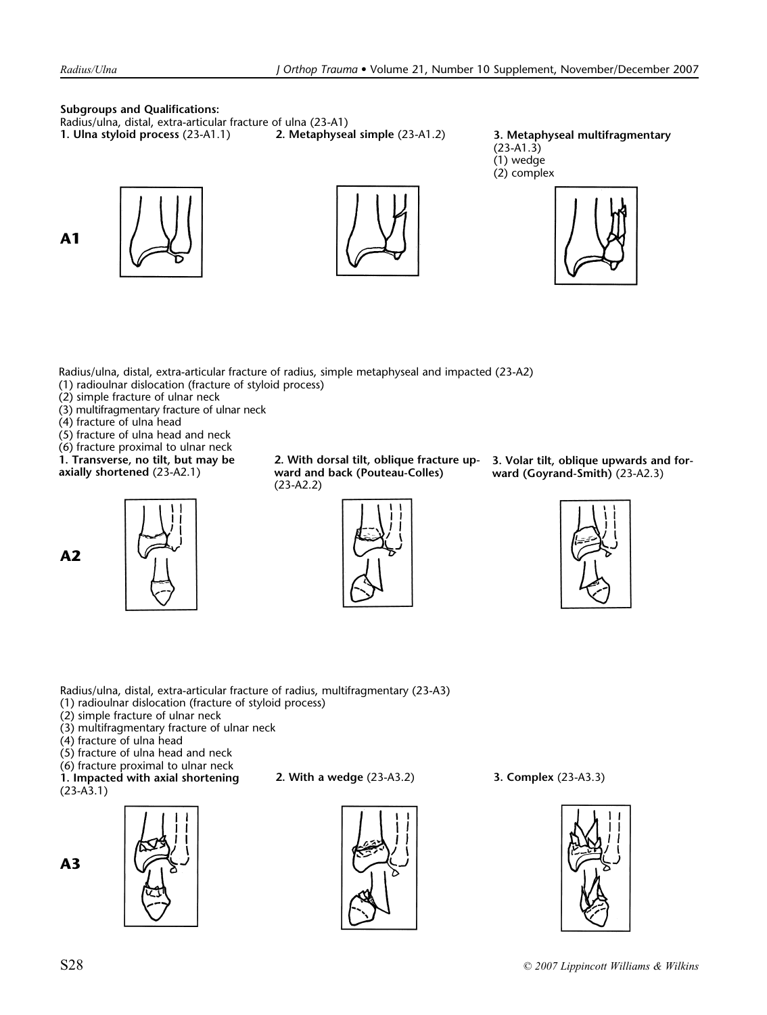**A1**

## **Subgroups and Qualifications:**

Radius/ulna, distal, extra-articular fracture of ulna (23-A1)<br>1. Ulna styloid process (23-A1.1) 2. Metaphyseal simple (23-A1.2)

**1. Ulna styloid process** (23-A1.1) **2. Metaphyseal simple** (23-A1.2) **3. Metaphyseal multifragmentary** (23-A1.3) (1) wedge (2) complex



Radius/ulna, distal, extra-articular fracture of radius, simple metaphyseal and impacted (23-A2)

- (1) radioulnar dislocation (fracture of styloid process)
- (2) simple fracture of ulnar neck
- (3) multifragmentary fracture of ulnar neck
- (4) fracture of ulna head
- (5) fracture of ulna head and neck

(6) fracture proximal to ulnar neck **1. Transverse, no tilt, but may be** 

**axially shortened** (23-A2.1)





**2. With dorsal tilt, oblique fracture upward and back (Pouteau-Colles)** (23-A2.2)



**3. Volar tilt, oblique upwards and forward (Goyrand-Smith)** (23-A2.3)



Radius/ulna, distal, extra-articular fracture of radius, multifragmentary (23-A3)

- (1) radioulnar dislocation (fracture of styloid process)
- (2) simple fracture of ulnar neck
- (3) multifragmentary fracture of ulnar neck
- (4) fracture of ulna head
- (5) fracture of ulna head and neck

(6) fracture proximal to ulnar neck

**1. Impacted with axial shortening** (23-A3.1)



**2. With a wedge** (23-A3.2) **3. Complex** (23-A3.3)





**A3**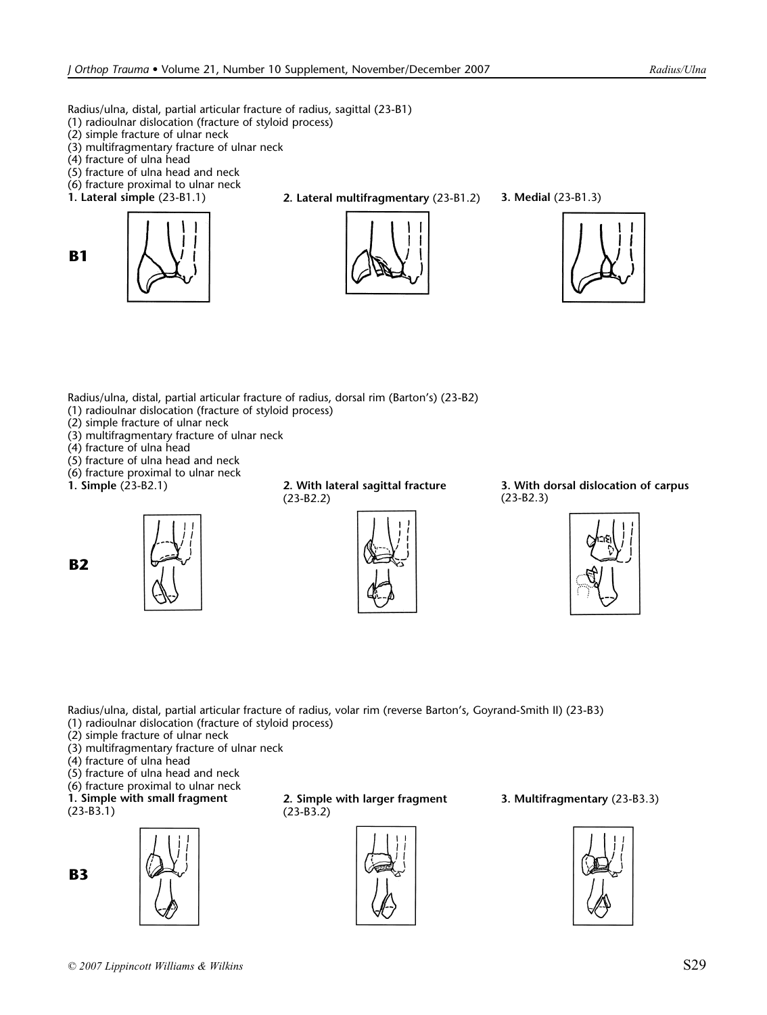Radius/ulna, distal, partial articular fracture of radius, sagittal (23-B1)

- (1) radioulnar dislocation (fracture of styloid process)
- (2) simple fracture of ulnar neck
- (3) multifragmentary fracture of ulnar neck
- (4) fracture of ulna head

**B1**

- (5) fracture of ulna head and neck
- (6) fracture proximal to ulnar neck
- 



**1. Lateral simple** (23-B1.1) **2. Lateral multifragmentary** (23-B1.2) **3. Medial** (23-B1.3)







Radius/ulna, distal, partial articular fracture of radius, dorsal rim (Barton's) (23-B2)

- (1) radioulnar dislocation (fracture of styloid process)
- (2) simple fracture of ulnar neck
- (3) multifragmentary fracture of ulnar neck
- (4) fracture of ulna head
- (5) fracture of ulna head and neck
- (6) fracture proximal to ulnar neck
- 

**B2**



**1. Simple** (23-B2.1) **2. With lateral sagittal fracture** (23-B2.2)



**3. With dorsal dislocation of carpus** (23-B2.3)



Radius/ulna, distal, partial articular fracture of radius, volar rim (reverse Barton's, Goyrand-Smith II) (23-B3) (1) radioulnar dislocation (fracture of styloid process)

- (2) simple fracture of ulnar neck
- (3) multifragmentary fracture of ulnar neck
- (4) fracture of ulna head
- (5) fracture of ulna head and neck
- (6) fracture proximal to ulnar neck
- **1. Simple with small fragment**

(23-B3.1)





**2. Simple with larger fragment** (23-B3.2)



**3. Multifragmentary** (23-B3.3)